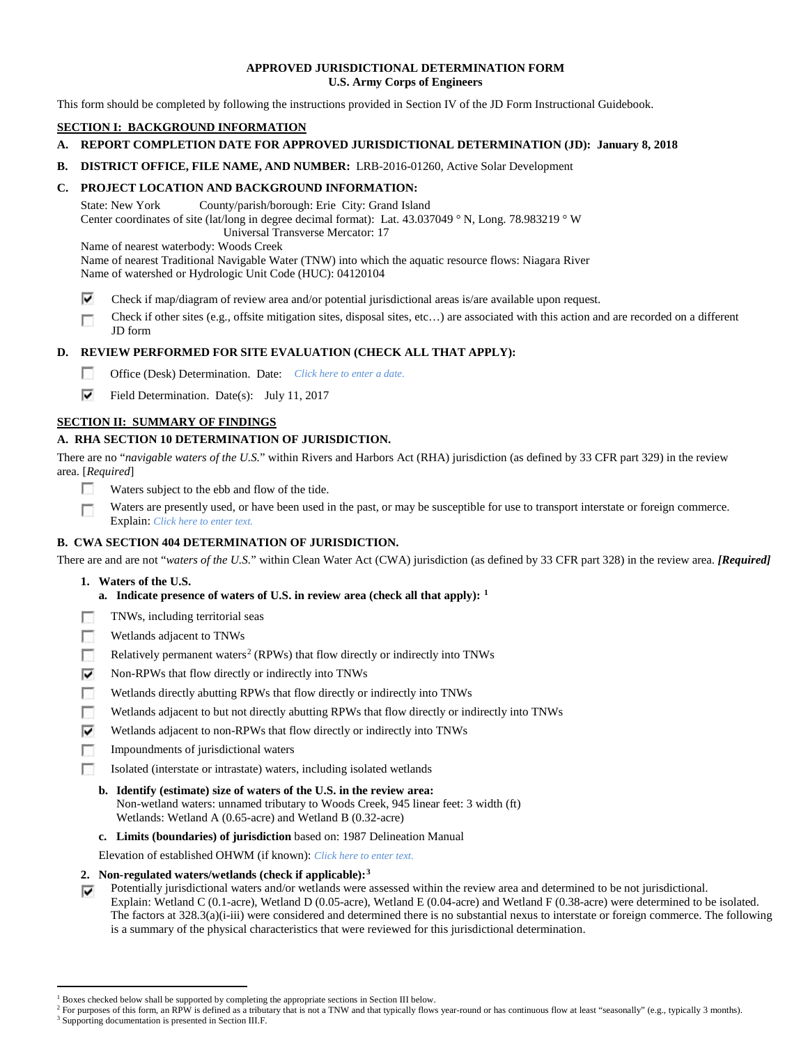## **APPROVED JURISDICTIONAL DETERMINATION FORM U.S. Army Corps of Engineers**

This form should be completed by following the instructions provided in Section IV of the JD Form Instructional Guidebook.

# **SECTION I: BACKGROUND INFORMATION**

# **A. REPORT COMPLETION DATE FOR APPROVED JURISDICTIONAL DETERMINATION (JD): January 8, 2018**

**B. DISTRICT OFFICE, FILE NAME, AND NUMBER:** LRB-2016-01260, Active Solar Development

# **C. PROJECT LOCATION AND BACKGROUND INFORMATION:**

State: New York County/parish/borough: Erie City: Grand Island Center coordinates of site (lat/long in degree decimal format): Lat. 43.037049 ° N, Long. 78.983219 ° W Universal Transverse Mercator: 17

Name of nearest waterbody: Woods Creek

- Name of nearest Traditional Navigable Water (TNW) into which the aquatic resource flows: Niagara River Name of watershed or Hydrologic Unit Code (HUC): 04120104
- ⊽ Check if map/diagram of review area and/or potential jurisdictional areas is/are available upon request.
- Check if other sites (e.g., offsite mitigation sites, disposal sites, etc…) are associated with this action and are recorded on a different г JD form

# **D. REVIEW PERFORMED FOR SITE EVALUATION (CHECK ALL THAT APPLY):**

- $\sim$ Office (Desk) Determination. Date: *Click here to enter a date.*
- ⊽ Field Determination. Date(s): July 11, 2017

# **SECTION II: SUMMARY OF FINDINGS**

# **A. RHA SECTION 10 DETERMINATION OF JURISDICTION.**

There are no "*navigable waters of the U.S.*" within Rivers and Harbors Act (RHA) jurisdiction (as defined by 33 CFR part 329) in the review area. [*Required*]

- п Waters subject to the ebb and flow of the tide.
- Waters are presently used, or have been used in the past, or may be susceptible for use to transport interstate or foreign commerce. п Explain: *Click here to enter text.*

# **B. CWA SECTION 404 DETERMINATION OF JURISDICTION.**

There are and are not "*waters of the U.S.*" within Clean Water Act (CWA) jurisdiction (as defined by 33 CFR part 328) in the review area. *[Required]*

- **1. Waters of the U.S.**
	- **a. Indicate presence of waters of U.S. in review area (check all that apply): [1](#page-0-0)**
- п TNWs, including territorial seas
- T. Wetlands adjacent to TNWs
- T. Relatively permanent waters<sup>[2](#page-0-1)</sup> (RPWs) that flow directly or indirectly into TNWs
- ⊽ Non-RPWs that flow directly or indirectly into TNWs
- n Wetlands directly abutting RPWs that flow directly or indirectly into TNWs
- Wetlands adjacent to but not directly abutting RPWs that flow directly or indirectly into TNWs п
- ⊽ Wetlands adjacent to non-RPWs that flow directly or indirectly into TNWs
- $\sim$ Impoundments of jurisdictional waters
- Isolated (interstate or intrastate) waters, including isolated wetlands п
	- **b. Identify (estimate) size of waters of the U.S. in the review area:** Non-wetland waters: unnamed tributary to Woods Creek, 945 linear feet: 3 width (ft) Wetlands: Wetland A (0.65-acre) and Wetland B (0.32-acre)
	- **c. Limits (boundaries) of jurisdiction** based on: 1987 Delineation Manual

Elevation of established OHWM (if known): *Click here to enter text.*

- **2. Non-regulated waters/wetlands (check if applicable):[3](#page-0-2)**
- Potentially jurisdictional waters and/or wetlands were assessed within the review area and determined to be not jurisdictional. ⊽ Explain: Wetland C (0.1-acre), Wetland D (0.05-acre), Wetland E (0.04-acre) and Wetland F (0.38-acre) were determined to be isolated. The factors at 328.3(a)(i-iii) were considered and determined there is no substantial nexus to interstate or foreign commerce. The following is a summary of the physical characteristics that were reviewed for this jurisdictional determination.

<sup>&</sup>lt;sup>1</sup> Boxes checked below shall be supported by completing the appropriate sections in Section III below.

<span id="page-0-2"></span><span id="page-0-1"></span><span id="page-0-0"></span>For purposes of this form, an RPW is defined as a tributary that is not a TNW and that typically flows year-round or has continuous flow at least "seasonally" (e.g., typically 3 months). <sup>3</sup> Supporting documentation is presented in Section III.F.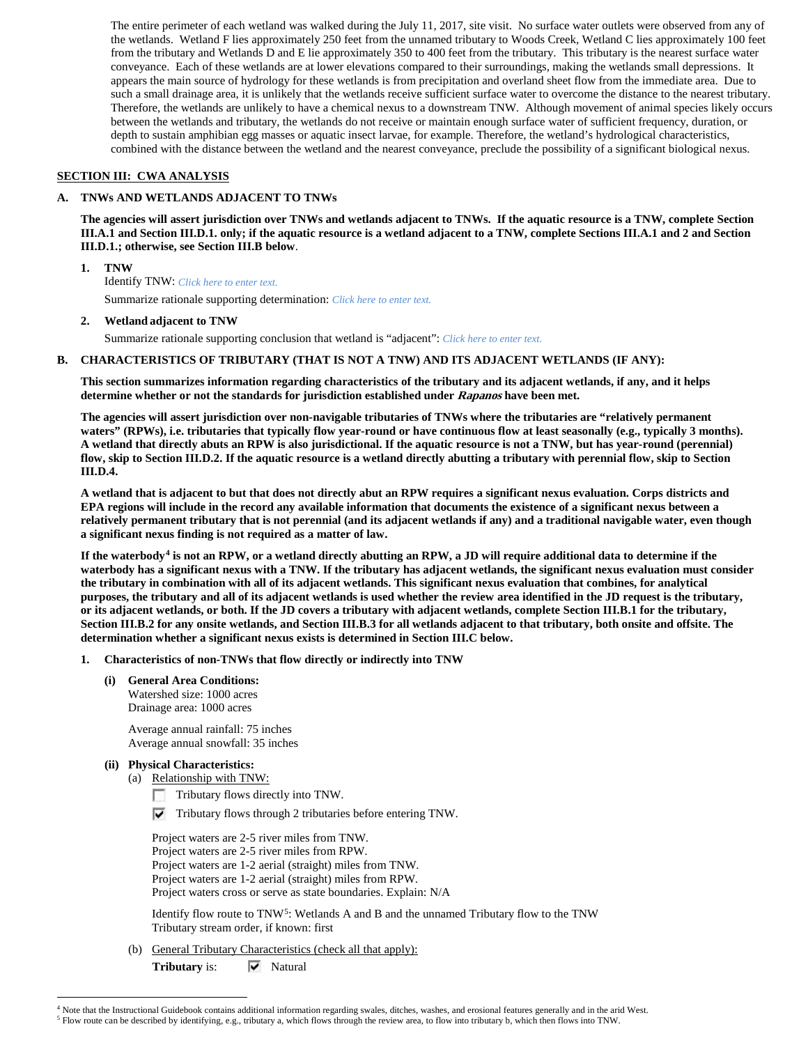The entire perimeter of each wetland was walked during the July 11, 2017, site visit. No surface water outlets were observed from any of the wetlands. Wetland F lies approximately 250 feet from the unnamed tributary to Woods Creek, Wetland C lies approximately 100 feet from the tributary and Wetlands D and E lie approximately 350 to 400 feet from the tributary. This tributary is the nearest surface water conveyance. Each of these wetlands are at lower elevations compared to their surroundings, making the wetlands small depressions. It appears the main source of hydrology for these wetlands is from precipitation and overland sheet flow from the immediate area. Due to such a small drainage area, it is unlikely that the wetlands receive sufficient surface water to overcome the distance to the nearest tributary. Therefore, the wetlands are unlikely to have a chemical nexus to a downstream TNW. Although movement of animal species likely occurs between the wetlands and tributary, the wetlands do not receive or maintain enough surface water of sufficient frequency, duration, or depth to sustain amphibian egg masses or aquatic insect larvae, for example. Therefore, the wetland's hydrological characteristics, combined with the distance between the wetland and the nearest conveyance, preclude the possibility of a significant biological nexus.

## **SECTION III: CWA ANALYSIS**

#### **A. TNWs AND WETLANDS ADJACENT TO TNWs**

**The agencies will assert jurisdiction over TNWs and wetlands adjacent to TNWs. If the aquatic resource is a TNW, complete Section III.A.1 and Section III.D.1. only; if the aquatic resource is a wetland adjacent to a TNW, complete Sections III.A.1 and 2 and Section III.D.1.; otherwise, see Section III.B below**.

- **1. TNW**  Identify TNW: *Click here to enter text.* Summarize rationale supporting determination: *Click here to enter text.*
- **2. Wetland adjacent to TNW**

Summarize rationale supporting conclusion that wetland is "adjacent": *Click here to enter text.*

## **B. CHARACTERISTICS OF TRIBUTARY (THAT IS NOT A TNW) AND ITS ADJACENT WETLANDS (IF ANY):**

**This section summarizes information regarding characteristics of the tributary and its adjacent wetlands, if any, and it helps determine whether or not the standards for jurisdiction established under Rapanos have been met.** 

**The agencies will assert jurisdiction over non-navigable tributaries of TNWs where the tributaries are "relatively permanent waters" (RPWs), i.e. tributaries that typically flow year-round or have continuous flow at least seasonally (e.g., typically 3 months). A wetland that directly abuts an RPW is also jurisdictional. If the aquatic resource is not a TNW, but has year-round (perennial) flow, skip to Section III.D.2. If the aquatic resource is a wetland directly abutting a tributary with perennial flow, skip to Section III.D.4.**

**A wetland that is adjacent to but that does not directly abut an RPW requires a significant nexus evaluation. Corps districts and EPA regions will include in the record any available information that documents the existence of a significant nexus between a relatively permanent tributary that is not perennial (and its adjacent wetlands if any) and a traditional navigable water, even though a significant nexus finding is not required as a matter of law.**

**If the waterbody[4](#page-1-0) is not an RPW, or a wetland directly abutting an RPW, a JD will require additional data to determine if the waterbody has a significant nexus with a TNW. If the tributary has adjacent wetlands, the significant nexus evaluation must consider the tributary in combination with all of its adjacent wetlands. This significant nexus evaluation that combines, for analytical purposes, the tributary and all of its adjacent wetlands is used whether the review area identified in the JD request is the tributary, or its adjacent wetlands, or both. If the JD covers a tributary with adjacent wetlands, complete Section III.B.1 for the tributary, Section III.B.2 for any onsite wetlands, and Section III.B.3 for all wetlands adjacent to that tributary, both onsite and offsite. The determination whether a significant nexus exists is determined in Section III.C below.**

- **1. Characteristics of non-TNWs that flow directly or indirectly into TNW**
	- **(i) General Area Conditions:** Watershed size: 1000 acres Drainage area: 1000 acres

Average annual rainfall: 75 inches Average annual snowfall: 35 inches

- **(ii) Physical Characteristics:**
	- (a) Relationship with TNW:
		- Tributary flows directly into TNW. n.
		- $\nabla$  Tributary flows through 2 tributaries before entering TNW.

Project waters are 2-5 river miles from TNW. Project waters are 2-5 river miles from RPW. Project waters are 1-2 aerial (straight) miles from TNW. Project waters are 1-2 aerial (straight) miles from RPW. Project waters cross or serve as state boundaries. Explain: N/A

Identify flow route to TNW<sup>5</sup>: Wetlands A and B and the unnamed Tributary flow to the TNW Tributary stream order, if known: first

(b) General Tributary Characteristics (check all that apply):

Tributary is:  $\overline{\mathbf{V}}$  Natural

<span id="page-1-0"></span> <sup>4</sup> Note that the Instructional Guidebook contains additional information regarding swales, ditches, washes, and erosional features generally and in the arid West.

<span id="page-1-1"></span><sup>5</sup> Flow route can be described by identifying, e.g., tributary a, which flows through the review area, to flow into tributary b, which then flows into TNW.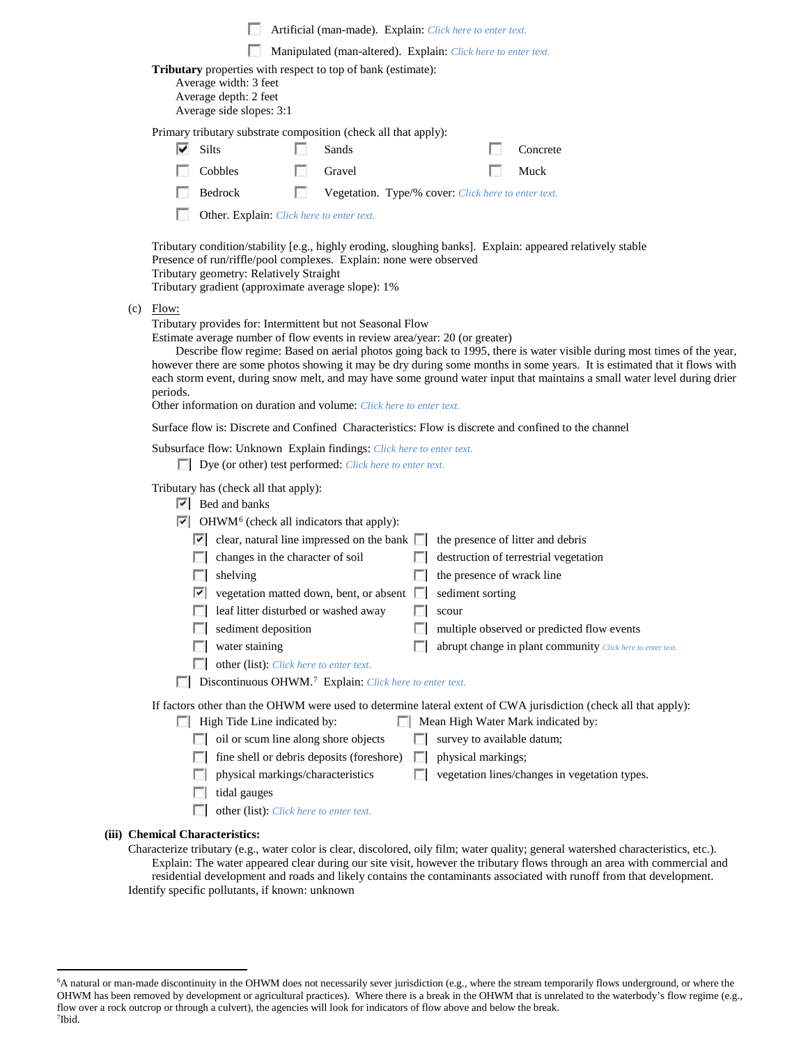|     | Artificial (man-made). Explain: Click here to enter text.                                                                                                                                                                                                                                                                               |                                                                                                                                                                                                                                                                                   |    |                                                     |                          |                            |  |                                                            |  |  |  |
|-----|-----------------------------------------------------------------------------------------------------------------------------------------------------------------------------------------------------------------------------------------------------------------------------------------------------------------------------------------|-----------------------------------------------------------------------------------------------------------------------------------------------------------------------------------------------------------------------------------------------------------------------------------|----|-----------------------------------------------------|--------------------------|----------------------------|--|------------------------------------------------------------|--|--|--|
|     | Manipulated (man-altered). Explain: Click here to enter text.                                                                                                                                                                                                                                                                           |                                                                                                                                                                                                                                                                                   |    |                                                     |                          |                            |  |                                                            |  |  |  |
|     | Tributary properties with respect to top of bank (estimate):<br>Average width: 3 feet<br>Average depth: 2 feet<br>Average side slopes: 3:1                                                                                                                                                                                              |                                                                                                                                                                                                                                                                                   |    |                                                     |                          |                            |  |                                                            |  |  |  |
|     |                                                                                                                                                                                                                                                                                                                                         | Primary tributary substrate composition (check all that apply):<br>$\overline{\triangledown}$ Silts                                                                                                                                                                               |    | Sands                                               |                          |                            |  | Concrete                                                   |  |  |  |
|     |                                                                                                                                                                                                                                                                                                                                         | Cobbles                                                                                                                                                                                                                                                                           | L. | Gravel                                              |                          |                            |  | Muck                                                       |  |  |  |
|     |                                                                                                                                                                                                                                                                                                                                         | Bedrock                                                                                                                                                                                                                                                                           | н  | Vegetation. Type/% cover: Click here to enter text. |                          |                            |  |                                                            |  |  |  |
|     |                                                                                                                                                                                                                                                                                                                                         | Other. Explain: Click here to enter text.                                                                                                                                                                                                                                         |    |                                                     |                          |                            |  |                                                            |  |  |  |
|     |                                                                                                                                                                                                                                                                                                                                         |                                                                                                                                                                                                                                                                                   |    |                                                     |                          |                            |  |                                                            |  |  |  |
|     |                                                                                                                                                                                                                                                                                                                                         | Tributary condition/stability [e.g., highly eroding, sloughing banks]. Explain: appeared relatively stable<br>Presence of run/riffle/pool complexes. Explain: none were observed<br>Tributary geometry: Relatively Straight<br>Tributary gradient (approximate average slope): 1% |    |                                                     |                          |                            |  |                                                            |  |  |  |
| (c) | Flow:                                                                                                                                                                                                                                                                                                                                   | Tributary provides for: Intermittent but not Seasonal Flow<br>Estimate average number of flow events in review area/year: 20 (or greater)<br>Describe flow regime: Based on aerial photos going back to 1995, there is water visible during most times of the year,               |    |                                                     |                          |                            |  |                                                            |  |  |  |
|     | however there are some photos showing it may be dry during some months in some years. It is estimated that it flows with<br>each storm event, during snow melt, and may have some ground water input that maintains a small water level during drier<br>periods.<br>Other information on duration and volume: Click here to enter text. |                                                                                                                                                                                                                                                                                   |    |                                                     |                          |                            |  |                                                            |  |  |  |
|     | Surface flow is: Discrete and Confined Characteristics: Flow is discrete and confined to the channel                                                                                                                                                                                                                                    |                                                                                                                                                                                                                                                                                   |    |                                                     |                          |                            |  |                                                            |  |  |  |
|     | Subsurface flow: Unknown Explain findings: Click here to enter text.<br>Dye (or other) test performed: Click here to enter text.                                                                                                                                                                                                        |                                                                                                                                                                                                                                                                                   |    |                                                     |                          |                            |  |                                                            |  |  |  |
|     | Tributary has (check all that apply):<br>$ \nabla $ Bed and banks                                                                                                                                                                                                                                                                       |                                                                                                                                                                                                                                                                                   |    |                                                     |                          |                            |  |                                                            |  |  |  |
|     |                                                                                                                                                                                                                                                                                                                                         | $\triangleright$ OHWM <sup>6</sup> (check all indicators that apply):                                                                                                                                                                                                             |    |                                                     |                          |                            |  |                                                            |  |  |  |
|     |                                                                                                                                                                                                                                                                                                                                         | $\vert \cdot \vert$ clear, natural line impressed on the bank $\vert \cdot \vert$ the presence of litter and debris                                                                                                                                                               |    |                                                     |                          |                            |  |                                                            |  |  |  |
|     |                                                                                                                                                                                                                                                                                                                                         | $\Box$ changes in the character of soil                                                                                                                                                                                                                                           |    |                                                     | <b>ISBN</b>              |                            |  | destruction of terrestrial vegetation                      |  |  |  |
|     |                                                                                                                                                                                                                                                                                                                                         | shelving<br>$\sim$                                                                                                                                                                                                                                                                |    |                                                     |                          | the presence of wrack line |  |                                                            |  |  |  |
|     |                                                                                                                                                                                                                                                                                                                                         | $\triangledown$ vegetation matted down, bent, or absent $\triangledown$ sediment sorting                                                                                                                                                                                          |    |                                                     |                          |                            |  |                                                            |  |  |  |
|     |                                                                                                                                                                                                                                                                                                                                         | eaf litter disturbed or washed away                                                                                                                                                                                                                                               |    |                                                     | $\overline{\phantom{a}}$ | scour                      |  |                                                            |  |  |  |
|     |                                                                                                                                                                                                                                                                                                                                         | sediment deposition                                                                                                                                                                                                                                                               |    |                                                     |                          |                            |  | multiple observed or predicted flow events                 |  |  |  |
|     |                                                                                                                                                                                                                                                                                                                                         | water staining                                                                                                                                                                                                                                                                    |    |                                                     |                          |                            |  | abrupt change in plant community Click here to enter text. |  |  |  |
|     | other (list): Click here to enter text.<br>$\sim$<br>Discontinuous OHWM. <sup>7</sup> Explain: Click here to enter text.<br>п                                                                                                                                                                                                           |                                                                                                                                                                                                                                                                                   |    |                                                     |                          |                            |  |                                                            |  |  |  |
|     |                                                                                                                                                                                                                                                                                                                                         | If factors other than the OHWM were used to determine lateral extent of CWA jurisdiction (check all that apply):                                                                                                                                                                  |    |                                                     |                          |                            |  |                                                            |  |  |  |
|     | High Tide Line indicated by:<br>Mean High Water Mark indicated by:<br>oil or scum line along shore objects<br>survey to available datum;                                                                                                                                                                                                |                                                                                                                                                                                                                                                                                   |    |                                                     |                          |                            |  |                                                            |  |  |  |
|     |                                                                                                                                                                                                                                                                                                                                         |                                                                                                                                                                                                                                                                                   |    |                                                     |                          |                            |  |                                                            |  |  |  |
|     |                                                                                                                                                                                                                                                                                                                                         |                                                                                                                                                                                                                                                                                   |    | fine shell or debris deposits (foreshore)           | Е                        | physical markings;         |  |                                                            |  |  |  |
|     |                                                                                                                                                                                                                                                                                                                                         | physical markings/characteristics<br>tidal gauges                                                                                                                                                                                                                                 |    |                                                     |                          |                            |  | vegetation lines/changes in vegetation types.              |  |  |  |
|     |                                                                                                                                                                                                                                                                                                                                         | other (list): Click here to enter text.                                                                                                                                                                                                                                           |    |                                                     |                          |                            |  |                                                            |  |  |  |
|     |                                                                                                                                                                                                                                                                                                                                         |                                                                                                                                                                                                                                                                                   |    |                                                     |                          |                            |  |                                                            |  |  |  |

# **(iii) Chemical Characteristics:**

Characterize tributary (e.g., water color is clear, discolored, oily film; water quality; general watershed characteristics, etc.). Explain: The water appeared clear during our site visit, however the tributary flows through an area with commercial and residential development and roads and likely contains the contaminants associated with runoff from that development. Identify specific pollutants, if known: unknown

<span id="page-2-1"></span><span id="page-2-0"></span> <sup>6</sup> <sup>6</sup>A natural or man-made discontinuity in the OHWM does not necessarily sever jurisdiction (e.g., where the stream temporarily flows underground, or where the OHWM has been removed by development or agricultural practices). Where there is a break in the OHWM that is unrelated to the waterbody's flow regime (e.g., flow over a rock outcrop or through a culvert), the agencies will look for indicators of flow above and below the break. 7 Ibid.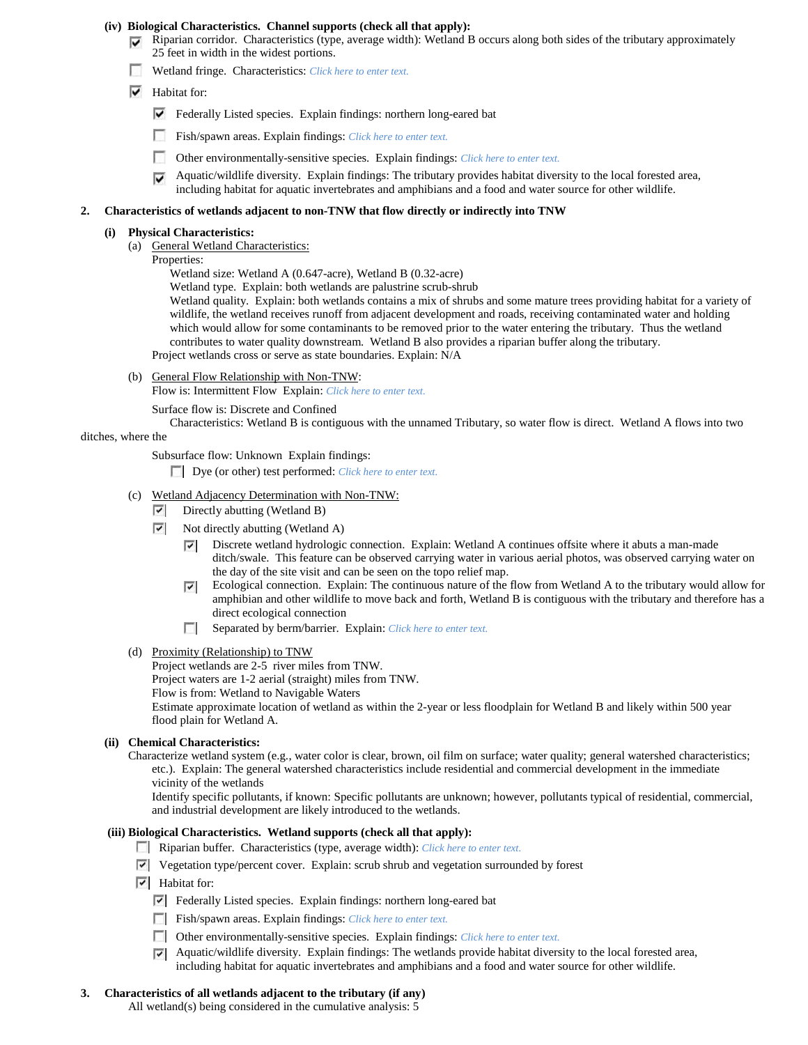#### **(iv) Biological Characteristics. Channel supports (check all that apply):**

- $\nabla$  Riparian corridor. Characteristics (type, average width): Wetland B occurs along both sides of the tributary approximately 25 feet in width in the widest portions.
- Wetland fringe. Characteristics: *Click here to enter text.*
- $\overline{\triangledown}$  Habitat for:
	- Federally Listed species. Explain findings: northern long-eared bat
	- n Fish/spawn areas. Explain findings: *Click here to enter text.*
	- m Other environmentally-sensitive species. Explain findings: *Click here to enter text.*
	- $\blacktriangleright$  Aquatic/wildlife diversity. Explain findings: The tributary provides habitat diversity to the local forested area, including habitat for aquatic invertebrates and amphibians and a food and water source for other wildlife.

#### **2. Characteristics of wetlands adjacent to non-TNW that flow directly or indirectly into TNW**

#### **(i) Physical Characteristics:**

- (a) General Wetland Characteristics:
	- Properties:

Wetland size: Wetland A (0.647-acre), Wetland B (0.32-acre)

Wetland type. Explain: both wetlands are palustrine scrub-shrub

Wetland quality. Explain: both wetlands contains a mix of shrubs and some mature trees providing habitat for a variety of wildlife, the wetland receives runoff from adjacent development and roads, receiving contaminated water and holding which would allow for some contaminants to be removed prior to the water entering the tributary. Thus the wetland contributes to water quality downstream. Wetland B also provides a riparian buffer along the tributary. Project wetlands cross or serve as state boundaries. Explain: N/A

(b) General Flow Relationship with Non-TNW:

Flow is: Intermittent Flow Explain: *Click here to enter text.*

Surface flow is: Discrete and Confined

Characteristics: Wetland B is contiguous with the unnamed Tributary, so water flow is direct. Wetland A flows into two

# ditches, where the

Subsurface flow: Unknown Explain findings:

Dye (or other) test performed: *Click here to enter text.*

- (c) Wetland Adjacency Determination with Non-TNW:
	- Directly abutting (Wetland B) 罓
	- ☞ Not directly abutting (Wetland A)
		- Discrete wetland hydrologic connection. Explain: Wetland A continues offsite where it abuts a man-made ⊽ ditch/swale. This feature can be observed carrying water in various aerial photos, was observed carrying water on the day of the site visit and can be seen on the topo relief map.
		- Ecological connection. Explain: The continuous nature of the flow from Wetland A to the tributary would allow for ⊽ amphibian and other wildlife to move back and forth, Wetland B is contiguous with the tributary and therefore has a direct ecological connection
		- п Separated by berm/barrier. Explain: *Click here to enter text.*
- (d) Proximity (Relationship) to TNW

Project wetlands are 2-5 river miles from TNW. Project waters are 1-2 aerial (straight) miles from TNW. Flow is from: Wetland to Navigable Waters Estimate approximate location of wetland as within the 2-year or less floodplain for Wetland B and likely within 500 year flood plain for Wetland A.

## **(ii) Chemical Characteristics:**

Characterize wetland system (e.g., water color is clear, brown, oil film on surface; water quality; general watershed characteristics; etc.). Explain: The general watershed characteristics include residential and commercial development in the immediate vicinity of the wetlands

Identify specific pollutants, if known: Specific pollutants are unknown; however, pollutants typical of residential, commercial, and industrial development are likely introduced to the wetlands.

#### **(iii) Biological Characteristics. Wetland supports (check all that apply):**

- Riparian buffer. Characteristics (type, average width): *Click here to enter text.*
- Vegetation type/percent cover. Explain: scrub shrub and vegetation surrounded by forest
- $\overline{\triangledown}$  Habitat for:
	- Federally Listed species. Explain findings: northern long-eared bat
	- Fish/spawn areas. Explain findings: *Click here to enter text.*
	- Other environmentally-sensitive species. Explain findings: *Click here to enter text.*
	- Aquatic/wildlife diversity. Explain findings: The wetlands provide habitat diversity to the local forested area, including habitat for aquatic invertebrates and amphibians and a food and water source for other wildlife.

## **3. Characteristics of all wetlands adjacent to the tributary (if any)**

All wetland(s) being considered in the cumulative analysis: 5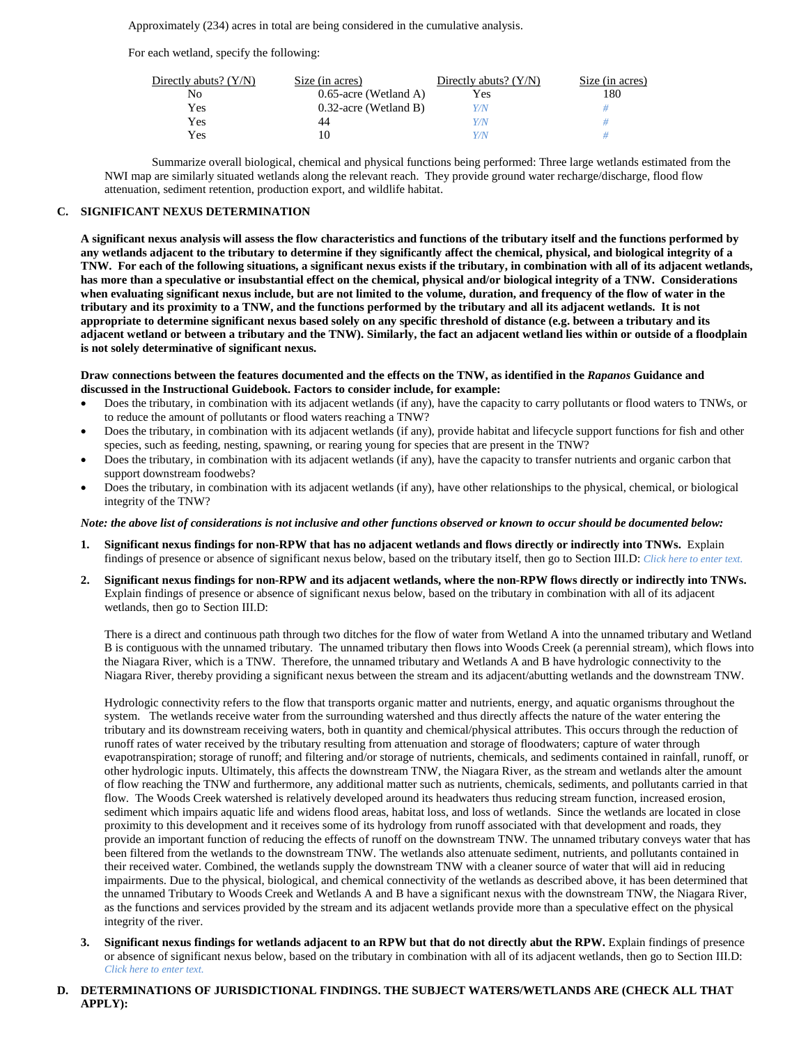Approximately (234) acres in total are being considered in the cumulative analysis.

For each wetland, specify the following:

| Directly abuts? $(Y/N)$ | Size (in acres)          | Directly abuts? $(Y/N)$ | Size (in acres) |
|-------------------------|--------------------------|-------------------------|-----------------|
| No                      | $0.65$ -acre (Wetland A) | Yes                     | 180             |
| Yes                     | $0.32$ -acre (Wetland B) | Y/N                     |                 |
| Yes                     | 44                       | Y/N                     |                 |
| Yes                     |                          | Y/N                     |                 |

Summarize overall biological, chemical and physical functions being performed: Three large wetlands estimated from the NWI map are similarly situated wetlands along the relevant reach. They provide ground water recharge/discharge, flood flow attenuation, sediment retention, production export, and wildlife habitat.

#### **C. SIGNIFICANT NEXUS DETERMINATION**

**A significant nexus analysis will assess the flow characteristics and functions of the tributary itself and the functions performed by any wetlands adjacent to the tributary to determine if they significantly affect the chemical, physical, and biological integrity of a TNW. For each of the following situations, a significant nexus exists if the tributary, in combination with all of its adjacent wetlands, has more than a speculative or insubstantial effect on the chemical, physical and/or biological integrity of a TNW. Considerations when evaluating significant nexus include, but are not limited to the volume, duration, and frequency of the flow of water in the tributary and its proximity to a TNW, and the functions performed by the tributary and all its adjacent wetlands. It is not appropriate to determine significant nexus based solely on any specific threshold of distance (e.g. between a tributary and its adjacent wetland or between a tributary and the TNW). Similarly, the fact an adjacent wetland lies within or outside of a floodplain is not solely determinative of significant nexus.** 

**Draw connections between the features documented and the effects on the TNW, as identified in the** *Rapanos* **Guidance and discussed in the Instructional Guidebook. Factors to consider include, for example:**

- Does the tributary, in combination with its adjacent wetlands (if any), have the capacity to carry pollutants or flood waters to TNWs, or to reduce the amount of pollutants or flood waters reaching a TNW?
- Does the tributary, in combination with its adjacent wetlands (if any), provide habitat and lifecycle support functions for fish and other species, such as feeding, nesting, spawning, or rearing young for species that are present in the TNW?
- Does the tributary, in combination with its adjacent wetlands (if any), have the capacity to transfer nutrients and organic carbon that support downstream foodwebs?
- Does the tributary, in combination with its adjacent wetlands (if any), have other relationships to the physical, chemical, or biological integrity of the TNW?

#### *Note: the above list of considerations is not inclusive and other functions observed or known to occur should be documented below:*

- **1. Significant nexus findings for non-RPW that has no adjacent wetlands and flows directly or indirectly into TNWs.** Explain findings of presence or absence of significant nexus below, based on the tributary itself, then go to Section III.D: *Click here to enter text.*
- **2. Significant nexus findings for non-RPW and its adjacent wetlands, where the non-RPW flows directly or indirectly into TNWs.**  Explain findings of presence or absence of significant nexus below, based on the tributary in combination with all of its adjacent wetlands, then go to Section III.D:

There is a direct and continuous path through two ditches for the flow of water from Wetland A into the unnamed tributary and Wetland B is contiguous with the unnamed tributary. The unnamed tributary then flows into Woods Creek (a perennial stream), which flows into the Niagara River, which is a TNW. Therefore, the unnamed tributary and Wetlands A and B have hydrologic connectivity to the Niagara River, thereby providing a significant nexus between the stream and its adjacent/abutting wetlands and the downstream TNW.

Hydrologic connectivity refers to the flow that transports organic matter and nutrients, energy, and aquatic organisms throughout the system. The wetlands receive water from the surrounding watershed and thus directly affects the nature of the water entering the tributary and its downstream receiving waters, both in quantity and chemical/physical attributes. This occurs through the reduction of runoff rates of water received by the tributary resulting from attenuation and storage of floodwaters; capture of water through evapotranspiration; storage of runoff; and filtering and/or storage of nutrients, chemicals, and sediments contained in rainfall, runoff, or other hydrologic inputs. Ultimately, this affects the downstream TNW, the Niagara River, as the stream and wetlands alter the amount of flow reaching the TNW and furthermore, any additional matter such as nutrients, chemicals, sediments, and pollutants carried in that flow. The Woods Creek watershed is relatively developed around its headwaters thus reducing stream function, increased erosion, sediment which impairs aquatic life and widens flood areas, habitat loss, and loss of wetlands. Since the wetlands are located in close proximity to this development and it receives some of its hydrology from runoff associated with that development and roads, they provide an important function of reducing the effects of runoff on the downstream TNW. The unnamed tributary conveys water that has been filtered from the wetlands to the downstream TNW. The wetlands also attenuate sediment, nutrients, and pollutants contained in their received water. Combined, the wetlands supply the downstream TNW with a cleaner source of water that will aid in reducing impairments. Due to the physical, biological, and chemical connectivity of the wetlands as described above, it has been determined that the unnamed Tributary to Woods Creek and Wetlands A and B have a significant nexus with the downstream TNW, the Niagara River, as the functions and services provided by the stream and its adjacent wetlands provide more than a speculative effect on the physical integrity of the river.

- **3. Significant nexus findings for wetlands adjacent to an RPW but that do not directly abut the RPW.** Explain findings of presence or absence of significant nexus below, based on the tributary in combination with all of its adjacent wetlands, then go to Section III.D: *Click here to enter text.*
- **D. DETERMINATIONS OF JURISDICTIONAL FINDINGS. THE SUBJECT WATERS/WETLANDS ARE (CHECK ALL THAT APPLY):**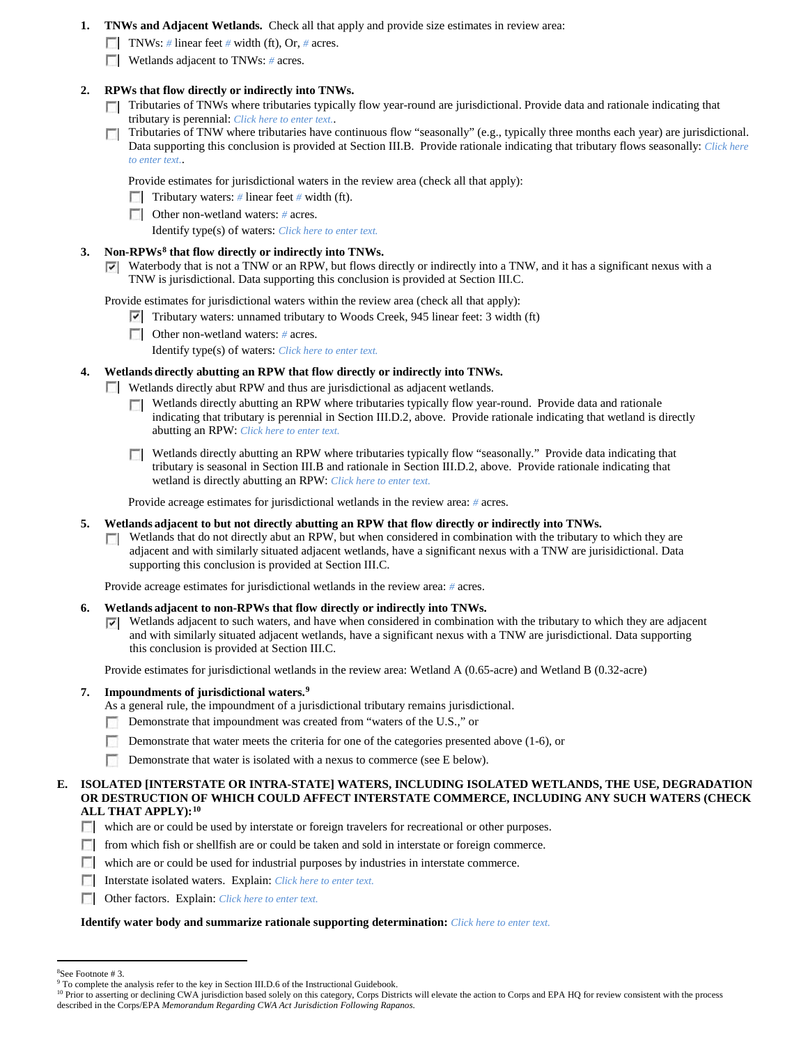- **1. TNWs and Adjacent Wetlands.** Check all that apply and provide size estimates in review area:
	- TNWs: *#* linear feet *#* width (ft), Or, *#* acres.
	- **Wetlands adjacent to TNWs:** # acres.

## **2. RPWs that flow directly or indirectly into TNWs.**

- Tributaries of TNWs where tributaries typically flow year-round are jurisdictional. Provide data and rationale indicating that tributary is perennial: *Click here to enter text.*.
- $\sim$ Tributaries of TNW where tributaries have continuous flow "seasonally" (e.g., typically three months each year) are jurisdictional. Data supporting this conclusion is provided at Section III.B. Provide rationale indicating that tributary flows seasonally: *Click here to enter text.*.

Provide estimates for jurisdictional waters in the review area (check all that apply):

Tributary waters: # linear feet # width (ft).

Other non-wetland waters: *#* acres.

Identify type(s) of waters: *Click here to enter text.*

# **3. Non-RPWs[8](#page-5-0) that flow directly or indirectly into TNWs.**

Waterbody that is not a TNW or an RPW, but flows directly or indirectly into a TNW, and it has a significant nexus with a TNW is jurisdictional. Data supporting this conclusion is provided at Section III.C.

Provide estimates for jurisdictional waters within the review area (check all that apply):

- Tributary waters: unnamed tributary to Woods Creek, 945 linear feet: 3 width (ft)
- Other non-wetland waters: *#* acres.

Identify type(s) of waters: *Click here to enter text.*

## **4. Wetlands directly abutting an RPW that flow directly or indirectly into TNWs.**

**Wetlands directly abut RPW and thus are jurisdictional as adjacent wetlands.** 

- Wetlands directly abutting an RPW where tributaries typically flow year-round. Provide data and rationale  $\sim$ indicating that tributary is perennial in Section III.D.2, above. Provide rationale indicating that wetland is directly abutting an RPW: *Click here to enter text.*
- Wetlands directly abutting an RPW where tributaries typically flow "seasonally." Provide data indicating that tributary is seasonal in Section III.B and rationale in Section III.D.2, above. Provide rationale indicating that wetland is directly abutting an RPW: *Click here to enter text.*

Provide acreage estimates for jurisdictional wetlands in the review area: *#* acres.

- **5. Wetlands adjacent to but not directly abutting an RPW that flow directly or indirectly into TNWs.**
	- $\Box$  Wetlands that do not directly abut an RPW, but when considered in combination with the tributary to which they are adjacent and with similarly situated adjacent wetlands, have a significant nexus with a TNW are jurisidictional. Data supporting this conclusion is provided at Section III.C.

Provide acreage estimates for jurisdictional wetlands in the review area: *#* acres.

- **6. Wetlands adjacent to non-RPWs that flow directly or indirectly into TNWs.** 
	- $\triangledown$  Wetlands adjacent to such waters, and have when considered in combination with the tributary to which they are adjacent and with similarly situated adjacent wetlands, have a significant nexus with a TNW are jurisdictional. Data supporting this conclusion is provided at Section III.C.

Provide estimates for jurisdictional wetlands in the review area: Wetland A (0.65-acre) and Wetland B (0.32-acre)

# **7. Impoundments of jurisdictional waters. [9](#page-5-1)**

As a general rule, the impoundment of a jurisdictional tributary remains jurisdictional.

- Demonstrate that impoundment was created from "waters of the U.S.," or
- Demonstrate that water meets the criteria for one of the categories presented above (1-6), or
- Demonstrate that water is isolated with a nexus to commerce (see E below).

#### **E. ISOLATED [INTERSTATE OR INTRA-STATE] WATERS, INCLUDING ISOLATED WETLANDS, THE USE, DEGRADATION OR DESTRUCTION OF WHICH COULD AFFECT INTERSTATE COMMERCE, INCLUDING ANY SUCH WATERS (CHECK ALL THAT APPLY):[10](#page-5-2)**

- which are or could be used by interstate or foreign travelers for recreational or other purposes.
- $\Box$  from which fish or shellfish are or could be taken and sold in interstate or foreign commerce.
- which are or could be used for industrial purposes by industries in interstate commerce.
- Interstate isolated waters.Explain: *Click here to enter text.*
- Other factors.Explain: *Click here to enter text.*

#### **Identify water body and summarize rationale supporting determination:** *Click here to enter text.*

 $\frac{1}{8}$ See Footnote # 3.

<span id="page-5-1"></span><span id="page-5-0"></span><sup>&</sup>lt;sup>9</sup> To complete the analysis refer to the key in Section III.D.6 of the Instructional Guidebook.

<span id="page-5-2"></span><sup>&</sup>lt;sup>10</sup> Prior to asserting or declining CWA jurisdiction based solely on this category, Corps Districts will elevate the action to Corps and EPA HQ for review consistent with the process described in the Corps/EPA *Memorandum Regarding CWA Act Jurisdiction Following Rapanos.*